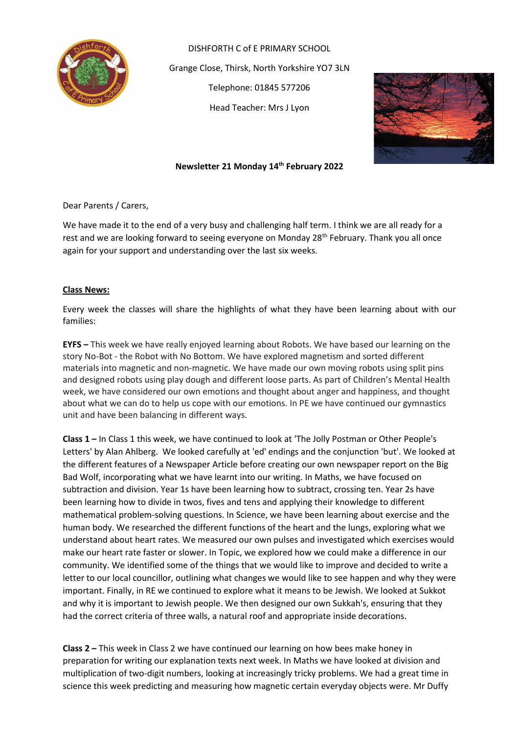

DISHFORTH C of E PRIMARY SCHOOL Grange Close, Thirsk, North Yorkshire YO7 3LN Telephone: 01845 577206 Head Teacher: Mrs J Lyon



#### **Newsletter 21 Monday 14th February 2022**

Dear Parents / Carers,

We have made it to the end of a very busy and challenging half term. I think we are all ready for a rest and we are looking forward to seeing everyone on Monday 28<sup>th</sup> February. Thank you all once again for your support and understanding over the last six weeks.

#### **Class News:**

Every week the classes will share the highlights of what they have been learning about with our families:

**EYFS –** This week we have really enjoyed learning about Robots. We have based our learning on the story No-Bot - the Robot with No Bottom. We have explored magnetism and sorted different materials into magnetic and non-magnetic. We have made our own moving robots using split pins and designed robots using play dough and different loose parts. As part of Children's Mental Health week, we have considered our own emotions and thought about anger and happiness, and thought about what we can do to help us cope with our emotions. In PE we have continued our gymnastics unit and have been balancing in different ways.

**Class 1 –** In Class 1 this week, we have continued to look at 'The Jolly Postman or Other People's Letters' by Alan Ahlberg. We looked carefully at 'ed' endings and the conjunction 'but'. We looked at the different features of a Newspaper Article before creating our own newspaper report on the Big Bad Wolf, incorporating what we have learnt into our writing. In Maths, we have focused on subtraction and division. Year 1s have been learning how to subtract, crossing ten. Year 2s have been learning how to divide in twos, fives and tens and applying their knowledge to different mathematical problem-solving questions. In Science, we have been learning about exercise and the human body. We researched the different functions of the heart and the lungs, exploring what we understand about heart rates. We measured our own pulses and investigated which exercises would make our heart rate faster or slower. In Topic, we explored how we could make a difference in our community. We identified some of the things that we would like to improve and decided to write a letter to our local councillor, outlining what changes we would like to see happen and why they were important. Finally, in RE we continued to explore what it means to be Jewish. We looked at Sukkot and why it is important to Jewish people. We then designed our own Sukkah's, ensuring that they had the correct criteria of three walls, a natural roof and appropriate inside decorations.

**Class 2 –** This week in Class 2 we have continued our learning on how bees make honey in preparation for writing our explanation texts next week. In Maths we have looked at division and multiplication of two-digit numbers, looking at increasingly tricky problems. We had a great time in science this week predicting and measuring how magnetic certain everyday objects were. Mr Duffy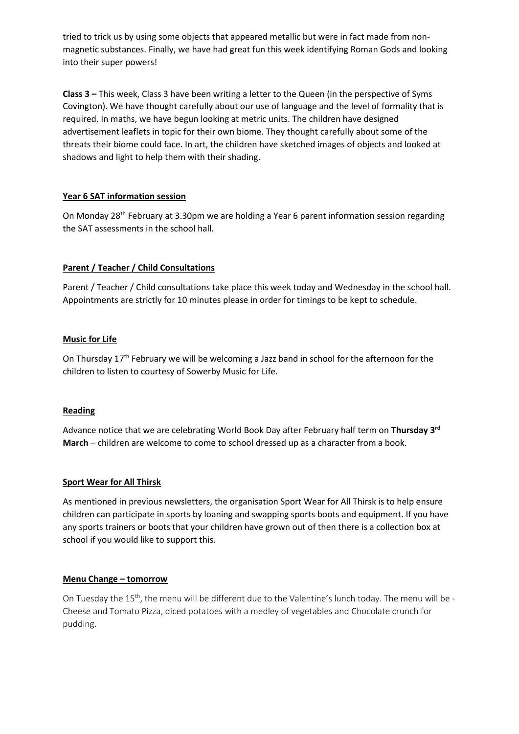tried to trick us by using some objects that appeared metallic but were in fact made from nonmagnetic substances. Finally, we have had great fun this week identifying Roman Gods and looking into their super powers!

**Class 3 –** This week, Class 3 have been writing a letter to the Queen (in the perspective of Syms Covington). We have thought carefully about our use of language and the level of formality that is required. In maths, we have begun looking at metric units. The children have designed advertisement leaflets in topic for their own biome. They thought carefully about some of the threats their biome could face. In art, the children have sketched images of objects and looked at shadows and light to help them with their shading.

## **Year 6 SAT information session**

On Monday 28<sup>th</sup> February at 3.30pm we are holding a Year 6 parent information session regarding the SAT assessments in the school hall.

## **Parent / Teacher / Child Consultations**

Parent / Teacher / Child consultations take place this week today and Wednesday in the school hall. Appointments are strictly for 10 minutes please in order for timings to be kept to schedule.

## **Music for Life**

On Thursday 17<sup>th</sup> February we will be welcoming a Jazz band in school for the afternoon for the children to listen to courtesy of Sowerby Music for Life.

## **Reading**

Advance notice that we are celebrating World Book Day after February half term on **Thursday 3rd March** – children are welcome to come to school dressed up as a character from a book.

#### **Sport Wear for All Thirsk**

As mentioned in previous newsletters, the organisation Sport Wear for All Thirsk is to help ensure children can participate in sports by loaning and swapping sports boots and equipment. If you have any sports trainers or boots that your children have grown out of then there is a collection box at school if you would like to support this.

## **Menu Change – tomorrow**

On Tuesday the 15<sup>th</sup>, the menu will be different due to the Valentine's lunch today. The menu will be -Cheese and Tomato Pizza, diced potatoes with a medley of vegetables and Chocolate crunch for pudding.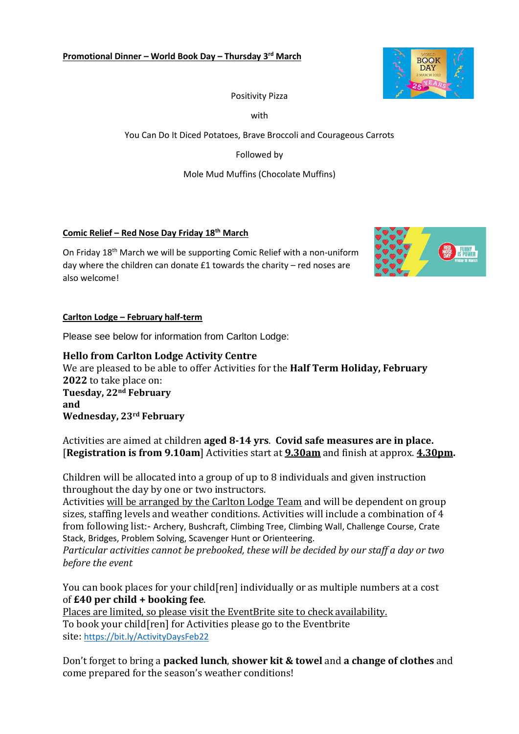

## Positivity Pizza

with

You Can Do It Diced Potatoes, Brave Broccoli and Courageous Carrots

Followed by

Mole Mud Muffins (Chocolate Muffins)

## **Comic Relief – Red Nose Day Friday 18th March**

On Friday 18th March we will be supporting Comic Relief with a non-uniform day where the children can donate £1 towards the charity – red noses are also welcome!



## **Carlton Lodge – February half-term**

Please see below for information from Carlton Lodge:

**Hello from Carlton Lodge Activity Centre** We are pleased to be able to offer Activities for the **Half Term Holiday, February 2022** to take place on: **Tuesday, 22nd February and Wednesday, 23rd February**

Activities are aimed at children **aged 8-14 yrs**. **Covid safe measures are in place.** [**Registration is from 9.10am**] Activities start at **9.30am** and finish at approx. **4.30pm.**

Children will be allocated into a group of up to 8 individuals and given instruction throughout the day by one or two instructors.

Activities will be arranged by the Carlton Lodge Team and will be dependent on group sizes, staffing levels and weather conditions. Activities will include a combination of 4 from following list:- Archery, Bushcraft, Climbing Tree, Climbing Wall, Challenge Course, Crate Stack, Bridges, Problem Solving, Scavenger Hunt or Orienteering.

*Particular activities cannot be prebooked, these will be decided by our staff a day or two before the event*

You can book places for your child[ren] individually or as multiple numbers at a cost of **£40 per child + booking fee**.

Places are limited, so please visit the EventBrite site to check availability. To book your child[ren] for Activities please go to the Eventbrite site: <https://bit.ly/ActivityDaysFeb22>

Don't forget to bring a **packed lunch**, **shower kit & towel** and **a change of clothes** and come prepared for the season's weather conditions!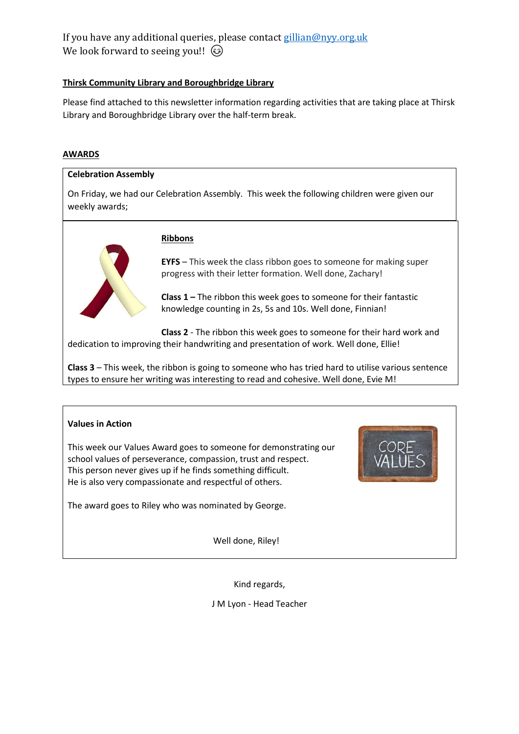## If you have any additional queries, please contact [gillian@nyy.org.uk](mailto:gillian@nyy.org.uk) We look forward to seeing you!!  $\odot$

## **Thirsk Community Library and Boroughbridge Library**

Please find attached to this newsletter information regarding activities that are taking place at Thirsk Library and Boroughbridge Library over the half-term break.

#### **AWARDS**

# **Celebration Assembly** On Friday, we had our Celebration Assembly. This week the following children were given our weekly awards; **Ribbons EYFS** – This week the class ribbon goes to someone for making super progress with their letter formation. Well done, Zachary! **Class 1 –** The ribbon this week goes to someone for their fantastic knowledge counting in 2s, 5s and 10s. Well done, Finnian! **Class 2** - The ribbon this week goes to someone for their hard work and dedication to improving their handwriting and presentation of work. Well done, Ellie!

**Class 3** – This week, the ribbon is going to someone who has tried hard to utilise various sentence types to ensure her writing was interesting to read and cohesive. Well done, Evie M!

## **Values in Action**

This week our Values Award goes to someone for demonstrating our school values of perseverance, compassion, trust and respect. This person never gives up if he finds something difficult. He is also very compassionate and respectful of others.

The award goes to Riley who was nominated by George.

Well done, Riley!



Kind regards,

J M Lyon - Head Teacher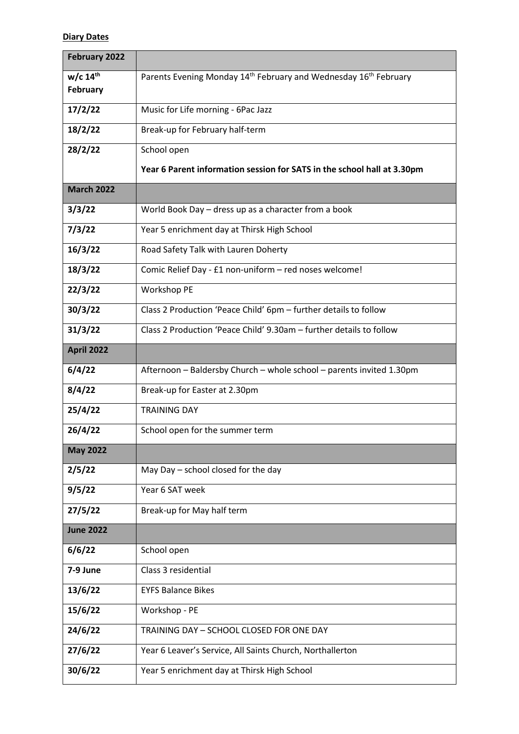## **Diary Dates**

| <b>February 2022</b>                      |                                                                         |  |  |  |  |  |
|-------------------------------------------|-------------------------------------------------------------------------|--|--|--|--|--|
| $w/c$ 14 <sup>th</sup><br><b>February</b> | Parents Evening Monday 14th February and Wednesday 16th February        |  |  |  |  |  |
| 17/2/22                                   | Music for Life morning - 6Pac Jazz                                      |  |  |  |  |  |
| 18/2/22                                   | Break-up for February half-term                                         |  |  |  |  |  |
| 28/2/22                                   | School open                                                             |  |  |  |  |  |
|                                           | Year 6 Parent information session for SATS in the school hall at 3.30pm |  |  |  |  |  |
| <b>March 2022</b>                         |                                                                         |  |  |  |  |  |
| 3/3/22                                    | World Book Day - dress up as a character from a book                    |  |  |  |  |  |
| 7/3/22                                    | Year 5 enrichment day at Thirsk High School                             |  |  |  |  |  |
| 16/3/22                                   | Road Safety Talk with Lauren Doherty                                    |  |  |  |  |  |
| 18/3/22                                   | Comic Relief Day - £1 non-uniform - red noses welcome!                  |  |  |  |  |  |
| 22/3/22                                   | Workshop PE                                                             |  |  |  |  |  |
| 30/3/22                                   | Class 2 Production 'Peace Child' 6pm - further details to follow        |  |  |  |  |  |
| 31/3/22                                   | Class 2 Production 'Peace Child' 9.30am - further details to follow     |  |  |  |  |  |
| April 2022                                |                                                                         |  |  |  |  |  |
| 6/4/22                                    | Afternoon - Baldersby Church - whole school - parents invited 1.30pm    |  |  |  |  |  |
| 8/4/22                                    | Break-up for Easter at 2.30pm                                           |  |  |  |  |  |
| 25/4/22                                   | <b>TRAINING DAY</b>                                                     |  |  |  |  |  |
| 26/4/22                                   | School open for the summer term                                         |  |  |  |  |  |
| <b>May 2022</b>                           |                                                                         |  |  |  |  |  |
| 2/5/22                                    | May Day - school closed for the day                                     |  |  |  |  |  |
| 9/5/22                                    | Year 6 SAT week                                                         |  |  |  |  |  |
| 27/5/22                                   | Break-up for May half term                                              |  |  |  |  |  |
| <b>June 2022</b>                          |                                                                         |  |  |  |  |  |
| 6/6/22                                    | School open                                                             |  |  |  |  |  |
| 7-9 June                                  | Class 3 residential                                                     |  |  |  |  |  |
| 13/6/22                                   | <b>EYFS Balance Bikes</b>                                               |  |  |  |  |  |
| 15/6/22                                   | Workshop - PE                                                           |  |  |  |  |  |
| 24/6/22                                   | TRAINING DAY - SCHOOL CLOSED FOR ONE DAY                                |  |  |  |  |  |
| 27/6/22                                   | Year 6 Leaver's Service, All Saints Church, Northallerton               |  |  |  |  |  |
| 30/6/22                                   | Year 5 enrichment day at Thirsk High School                             |  |  |  |  |  |